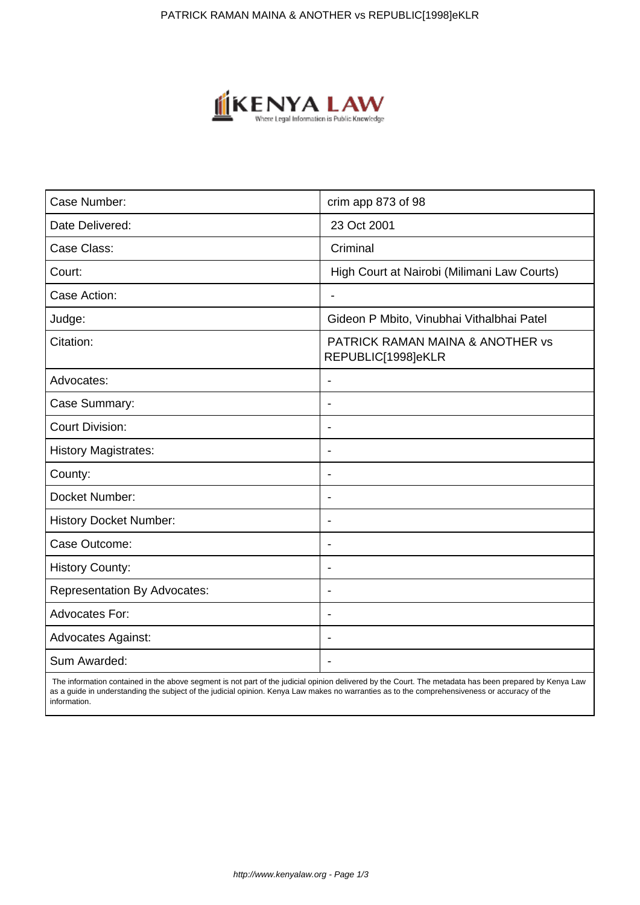

| Case Number:                        | crim app 873 of 98                                     |
|-------------------------------------|--------------------------------------------------------|
| Date Delivered:                     | 23 Oct 2001                                            |
| Case Class:                         | Criminal                                               |
| Court:                              | High Court at Nairobi (Milimani Law Courts)            |
| Case Action:                        | L.                                                     |
| Judge:                              | Gideon P Mbito, Vinubhai Vithalbhai Patel              |
| Citation:                           | PATRICK RAMAN MAINA & ANOTHER vs<br>REPUBLIC[1998]eKLR |
| Advocates:                          | $\blacksquare$                                         |
| Case Summary:                       | ÷                                                      |
| <b>Court Division:</b>              |                                                        |
| <b>History Magistrates:</b>         | $\blacksquare$                                         |
| County:                             | $\overline{\phantom{a}}$                               |
| Docket Number:                      | $\blacksquare$                                         |
| <b>History Docket Number:</b>       | ٠                                                      |
| Case Outcome:                       |                                                        |
| <b>History County:</b>              | $\overline{\phantom{a}}$                               |
| <b>Representation By Advocates:</b> | $\overline{\phantom{a}}$                               |
| <b>Advocates For:</b>               | $\blacksquare$                                         |
| <b>Advocates Against:</b>           | $\overline{\phantom{0}}$                               |
| Sum Awarded:                        |                                                        |

 The information contained in the above segment is not part of the judicial opinion delivered by the Court. The metadata has been prepared by Kenya Law as a guide in understanding the subject of the judicial opinion. Kenya Law makes no warranties as to the comprehensiveness or accuracy of the information.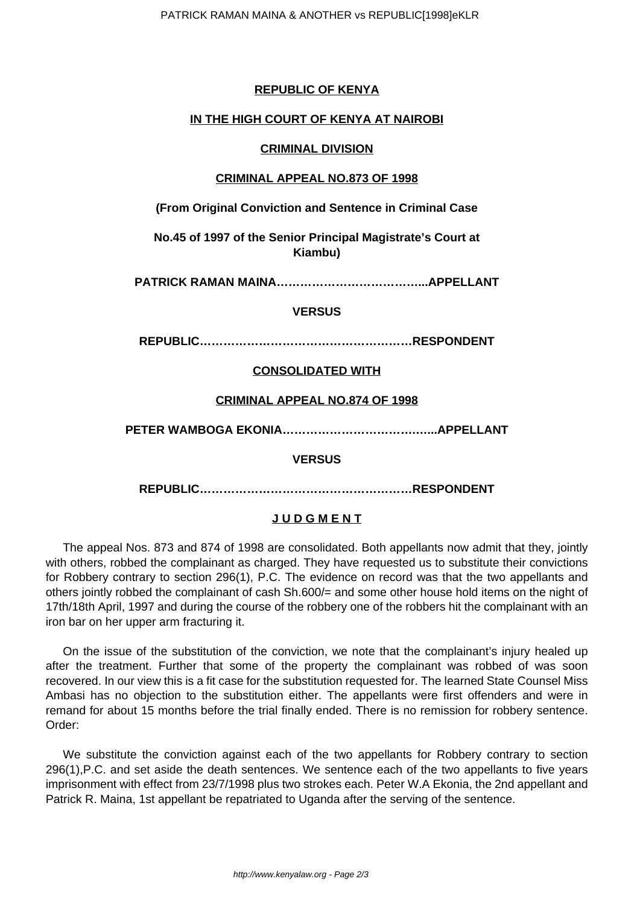# **REPUBLIC OF KENYA**

## **IN THE HIGH COURT OF KENYA AT NAIROBI**

### **CRIMINAL DIVISION**

#### **CRIMINAL APPEAL NO.873 OF 1998**

**(From Original Conviction and Sentence in Criminal Case**

**No.45 of 1997 of the Senior Principal Magistrate's Court at Kiambu)**

**PATRICK RAMAN MAINA………………………………...APPELLANT**

## **VERSUS**

**REPUBLIC………………………………………………RESPONDENT**

# **CONSOLIDATED WITH**

#### **CRIMINAL APPEAL NO.874 OF 1998**

**PETER WAMBOGA EKONIA…………………………….…...APPELLANT**

#### **VERSUS**

**REPUBLIC………………………………………………RESPONDENT**

#### **J U D G M E N T**

The appeal Nos. 873 and 874 of 1998 are consolidated. Both appellants now admit that they, jointly with others, robbed the complainant as charged. They have requested us to substitute their convictions for Robbery contrary to section 296(1), P.C. The evidence on record was that the two appellants and others jointly robbed the complainant of cash Sh.600/= and some other house hold items on the night of 17th/18th April, 1997 and during the course of the robbery one of the robbers hit the complainant with an iron bar on her upper arm fracturing it.

On the issue of the substitution of the conviction, we note that the complainant's injury healed up after the treatment. Further that some of the property the complainant was robbed of was soon recovered. In our view this is a fit case for the substitution requested for. The learned State Counsel Miss Ambasi has no objection to the substitution either. The appellants were first offenders and were in remand for about 15 months before the trial finally ended. There is no remission for robbery sentence. Order:

We substitute the conviction against each of the two appellants for Robbery contrary to section 296(1),P.C. and set aside the death sentences. We sentence each of the two appellants to five years imprisonment with effect from 23/7/1998 plus two strokes each. Peter W.A Ekonia, the 2nd appellant and Patrick R. Maina, 1st appellant be repatriated to Uganda after the serving of the sentence.